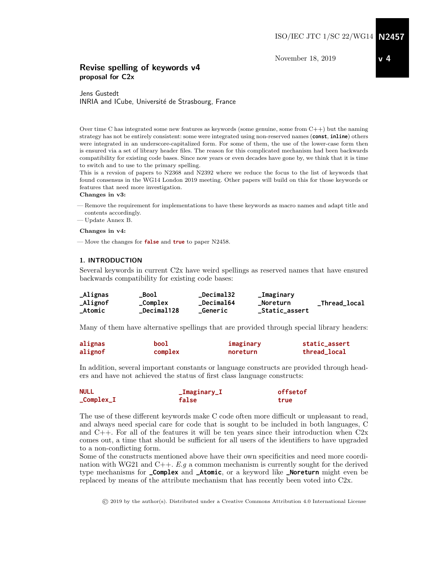November 18, 2019

### Revise spelling of keywords v4 proposal for C2x

Jens Gustedt INRIA and ICube, Université de Strasbourg, France

Over time C has integrated some new features as keywords (some genuine, some from  $C++$ ) but the naming strategy has not be entirely consistent: some were integrated using non-reserved names (**const**, **inline**) others were integrated in an underscore-capitalized form. For some of them, the use of the lower-case form then is ensured via a set of library header files. The reason for this complicated mechanism had been backwards compatibility for existing code bases. Since now years or even decades have gone by, we think that it is time to switch and to use to the primary spelling.

This is a revsion of papers to N2368 and N2392 where we reduce the focus to the list of keywords that found consensus in the WG14 London 2019 meeting. Other papers will build on this for those keywords or features that need more investigation.

#### Changes in v3:

- Remove the requirement for implementations to have these keywords as macro names and adapt title and contents accordingly.
- Update Annex B.

#### Changes in v4:

— Move the changes for **false** and **true** to paper N2458.

#### 1. INTRODUCTION

Several keywords in current C2x have weird spellings as reserved names that have ensured backwards compatibility for existing code bases:

| _Alignas | Bool              | _Decimal32       | _Imaginary     |               |
|----------|-------------------|------------------|----------------|---------------|
| _Alignof | _Complex          | <b>Decimal64</b> | _Noreturn      | _Thread_local |
| _Atomic  | <b>Decimal128</b> | Generic          | _Static_assert |               |

Many of them have alternative spellings that are provided through special library headers:

| alignas | bool    | imaginary | static_assert |
|---------|---------|-----------|---------------|
| alignof | complex | noreturn  | thread_local  |

In addition, several important constants or language constructs are provided through headers and have not achieved the status of first class language constructs:

| <b>NULL</b>                             | _Imaginary_I | offsetof |
|-----------------------------------------|--------------|----------|
| $_{\text{\small{\texttt{-Complex\_I}}}$ | false        | true     |

The use of these different keywords make C code often more difficult or unpleasant to read, and always need special care for code that is sought to be included in both languages, C and  $C_{++}$ . For all of the features it will be ten years since their introduction when  $C_{2x}$ comes out, a time that should be sufficient for all users of the identifiers to have upgraded to a non-conflicting form.

Some of the constructs mentioned above have their own specificities and need more coordination with WG21 and C++.  $E.g$  a common mechanism is currently sought for the derived type mechanisms for **\_Complex** and **\_Atomic**, or a keyword like **\_Noreturn** might even be replaced by means of the attribute mechanism that has recently been voted into C2x.

© 2019 by the author(s). Distributed under a Creative Commons Attribution 4.0 International License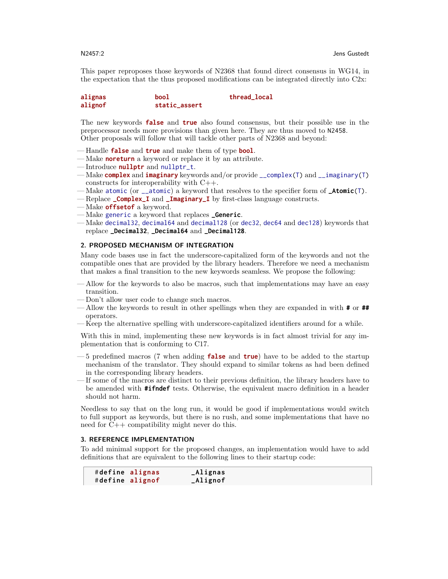This paper reproposes those keywords of N2368 that found direct consensus in WG14, in the expectation that the thus proposed modifications can be integrated directly into C2x:

| alignas | bool          | thread_local |
|---------|---------------|--------------|
| alignof | static_assert |              |

The new keywords **false** and **true** also found consensus, but their possible use in the preprocessor needs more provisions than given here. They are thus moved to N2458. Other proposals will follow that will tackle other parts of N2368 and beyond:

- Handle **false** and **true** and make them of type **bool**.
- Make **noreturn** a keyword or replace it by an attribute.
- Introduce **nullptr** and nullptr\_t.
- Make **complex** and **imaginary** keywords and/or provide \_\_complex(T) and \_\_imaginary(T) constructs for interoperability with C++.
- Make atomic (or \_\_atomic) a keyword that resolves to the specifier form of **\_Atomic**(T).
- Replace **\_Complex\_I** and **\_Imaginary\_I** by first-class language constructs.
- Make **offsetof** a keyword.
- Make generic a keyword that replaces **\_Generic**.
- Make decimal32, decimal64 and decimal128 (or dec32, dec64 and dec128) keywords that replace **\_Decimal32**, **\_Decimal64** and **\_Decimal128**.

### 2. PROPOSED MECHANISM OF INTEGRATION

Many code bases use in fact the underscore-capitalized form of the keywords and not the compatible ones that are provided by the library headers. Therefore we need a mechanism that makes a final transition to the new keywords seamless. We propose the following:

- Allow for the keywords to also be macros, such that implementations may have an easy transition.
- Don't allow user code to change such macros.
- Allow the keywords to result in other spellings when they are expanded in with **#** or **##** operators.
- Keep the alternative spelling with underscore-capitalized identifiers around for a while.

With this in mind, implementing these new keywords is in fact almost trivial for any implementation that is conforming to C17.

- 5 predefined macros (7 when adding **false** and **true**) have to be added to the startup mechanism of the translator. They should expand to similar tokens as had been defined in the corresponding library headers.
- If some of the macros are distinct to their previous definition, the library headers have to be amended with **#ifndef** tests. Otherwise, the equivalent macro definition in a header should not harm.

Needless to say that on the long run, it would be good if implementations would switch to full support as keywords, but there is no rush, and some implementations that have no need for C++ compatibility might never do this.

### 3. REFERENCE IMPLEMENTATION

To add minimal support for the proposed changes, an implementation would have to add definitions that are equivalent to the following lines to their startup code:

|                 | #define alignas | _Alignas |
|-----------------|-----------------|----------|
| #define alignof |                 | _Alignof |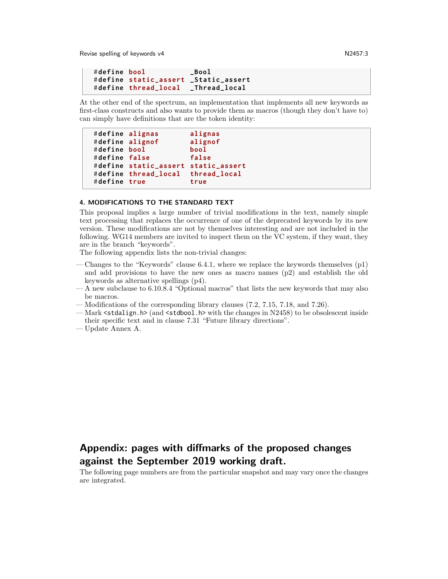Revise spelling of keywords v4 N2457:3

```
# define bool _Bool
# define static_assert _Static_assert
# define thread_local _Thread_local
```
At the other end of the spectrum, an implementation that implements all new keywords as first-class constructs and also wants to provide them as macros (though they don't have to) can simply have definitions that are the token identity:

```
# define alignas alignas
# define alignof alignof
# define bool bool
# define false false
# define static_assert static_assert
# define thread_local thread_local
# define true true
```
#### 4. MODIFICATIONS TO THE STANDARD TEXT

This proposal implies a large number of trivial modifications in the text, namely simple text processing that replaces the occurrence of one of the deprecated keywords by its new version. These modifications are not by themselves interesting and are not included in the following. WG14 members are invited to inspect them on the VC system, if they want, they are in the branch "keywords".

The following appendix lists the non-trivial changes:

- Changes to the "Keywords" clause 6.4.1, where we replace the keywords themselves (p1) and add provisions to have the new ones as macro names (p2) and establish the old keywords as alternative spellings (p4).
- A new subclause to 6.10.8.4 "Optional macros" that lists the new keywords that may also be macros.
- Modifications of the corresponding library clauses (7.2, 7.15, 7.18, and 7.26).
- Mark <stdalign.h> (and <stdbool.h> with the changes in N2458) to be obsolescent inside their specific text and in clause 7.31 "Future library directions".
- Update Annex A.

# Appendix: pages with diffmarks of the proposed changes against the September 2019 working draft.

The following page numbers are from the particular snapshot and may vary once the changes are integrated.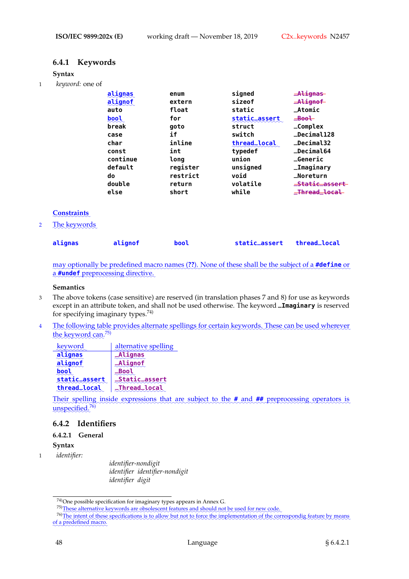# **6.4.1 Keywords**

### **Syntax**

1 *keyword:* one of

|          |               | -Alignas          |
|----------|---------------|-------------------|
| extern   |               | $-$ Alignof       |
| float    | static        | $+ Atomic$        |
| for      | static_assert | $\equiv$ Bool     |
| goto     | struct        | $\_Complex$       |
| if       | switch        | _Decimal128       |
| inline   | thread_local  | $\_Decima132$     |
| int      | typedef       | <b>_Decimal64</b> |
| long     | union         | <b>_Generic</b>   |
| register | unsigned      | _Imaginary        |
| restrict | void          | _Noreturn         |
| return   | volatile      | =Static=assert    |
| short    | while         | _Thread_local_    |
|          | enum          | signed<br>sizeof  |

### ✿✿✿✿✿✿✿✿✿✿✿ **Constraints**

2 The keywords

| alignas | alignof | bool | static_assert thread_local |  |
|---------|---------|------|----------------------------|--|
|         |         |      |                            |  |

may optionally be predefined macro names (??). None of these shall be the subject of a **#define** or a **#undef** preprocessing directive.

### **Semantics**

- 3 The above tokens (case sensitive) are reserved (in translation phases 7 and 8) for use as keywords except in an attribute token, and shall not be used otherwise. The keyword **\_Imaginary** is reserved for specifying imaginary types.74)
- 4 Dhe following table provides alternate spellings for certain keywords. These can be used wherever the keyword can.<sup>75)</sup>

| keyword       | alternative spelling |
|---------------|----------------------|
| alignas       | <b>_Alignas</b>      |
| alignof       | _Alignof             |
|               | <b>_Bool</b>         |
| static_assert | _Static_assert       |
| thread_local  | <b>_Thread_local</b> |

Their spelling inside expressions that are subject to the **#** and **##** preprocessing operators is unspecified.<sup>76)</sup>

### **6.4.2 Identifiers**

### **6.4.2.1 General**

**Syntax**

1 *identifier:*

*identifier-nondigit identifier identifier-nondigit identifier digit*

<sup>74)</sup>One possible specification for imaginary types appears in Annex G.

<sup>75)</sup> These alternative keywords are obsolescent features and should not be used for new code.

<sup>76)</sup> The intent of these specifications is to allow but not to force the implementation of the correspondig feature by means of a predefined macro.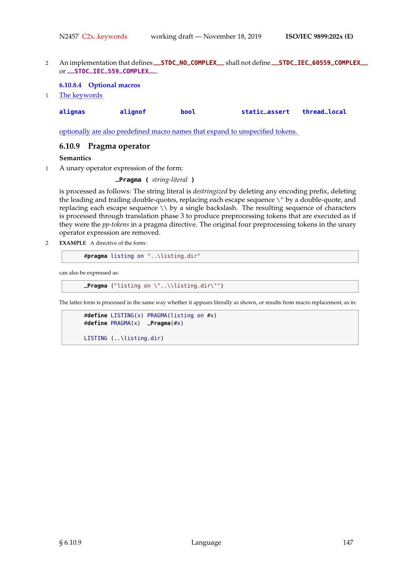<sup>2</sup> An implementation that defines **\_\_STDC\_NO\_COMPLEX\_\_** shall not define **\_\_STDC\_IEC\_60559\_COMPLEX\_\_** or **\_\_STDC\_IEC\_559\_COMPLEX\_\_**.

### **6.10.8.4 Optional macros**

1 The keywords

| alignas | alignof | bool | static_assert thread_local |  |
|---------|---------|------|----------------------------|--|
|         |         |      |                            |  |

optionally are also predefined macro names that expand to unspecified tokens.

### **6.10.9 Pragma operator**

### **Semantics**

1 A unary operator expression of the form:

```
_Pragma ( string-literal )
```
is processed as follows: The string literal is *destringized* by deleting any encoding prefix, deleting the leading and trailing double-quotes, replacing each escape sequence \" by a double-quote, and replacing each escape sequence  $\setminus \setminus$  by a single backslash. The resulting sequence of characters is processed through translation phase 3 to produce preprocessing tokens that are executed as if they were the *pp-tokens* in a pragma directive. The original four preprocessing tokens in the unary operator expression are removed.

2 **EXAMPLE** A directive of the form:

```
#pragma listing on "..\listing.dir"
```
can also be expressed as:

```
_Pragma ("listing on \"..\\listing.dir\"")
```
The latter form is processed in the same way whether it appears literally as shown, or results from macro replacement, as in:

```
#define LISTING(x) PRAGMA(listing on #x)
#define PRAGMA(x) _Pragma(#x)
```

```
LISTING (..\listing.dir)
```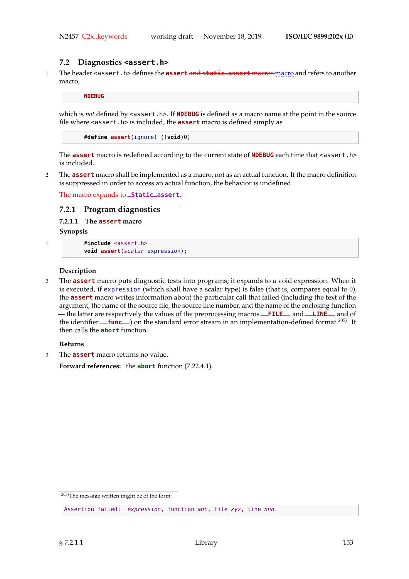### **7.2 Diagnostics <assert.h>**

1 The header <assert.h> defines the **assert** and **static\_assert** macros macro and refers to another macro,

**NDEBUG**

which is *not* defined by <assert.h>. If **NDEBUG** is defined as a macro name at the point in the source file where <assert.h> is included, the **assert** macro is defined simply as

#**define assert**(ignore) ((**void**)0)

The **assert** macro is redefined according to the current state of **NDEBUG** each time that <assert.h> is included.

2 The **assert** macro shall be implemented as a macro, not as an actual function. If the macro definition is suppressed in order to access an actual function, the behavior is undefined.

The macro expands to **\_Static\_assert**.

### **7.2.1 Program diagnostics**

**7.2.1.1 The assert macro**

**Synopsis**

```
1 #include <assert.h>
```
**void assert**(scalar expression);

### **Description**

2 The **assert** macro puts diagnostic tests into programs; it expands to a void expression. When it is executed, if expression (which shall have a scalar type) is false (that is, compares equal to 0), the **assert** macro writes information about the particular call that failed (including the text of the argument, the name of the source file, the source line number, and the name of the enclosing function — the latter are respectively the values of the preprocessing macros **\_\_FILE\_\_** and **\_\_LINE\_\_** and of the identifier **\_\_func** ) on the standard error stream in an implementation-defined format.<sup>205)</sup> It then calls the **abort** function.

### **Returns**

3 The **assert** macro returns no value.

**Forward references:** the **abort** function (7.22.4.1).

<sup>205)</sup>The message written might be of the form:

Assertion failed: expression, function abc, file xyz, line nnn.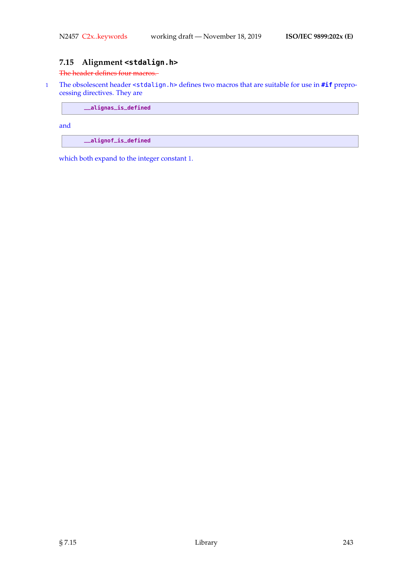# **7.15 Alignment <stdalign.h>**

### The header defines four macros.

1 The obsolescent header <stdalign.h> defines two macros that are suitable for use in **#if** preprocessing directives. They are

**\_\_alignas\_is\_defined**

and

**\_\_alignof\_is\_defined**

which both expand to the integer constant 1.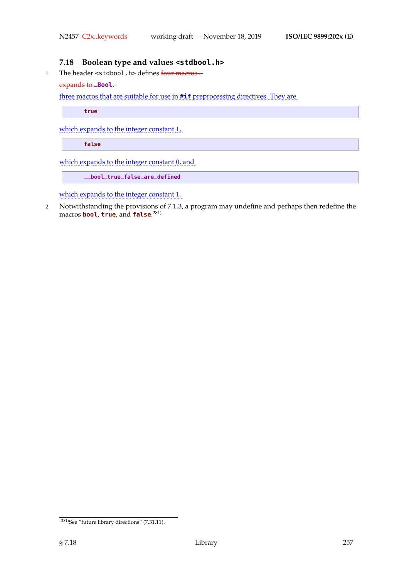# **7.18 Boolean type and values <stdbool.h>**

1 The header <stdbool.h> defines four macros.

### expands to **\_Bool**.

three macros that are suitable for use in **#if** preprocessing directives. They are

**true**

which expands to the integer constant  $1$ ,

**false**

which expands to the integer constant  $0$ , and

```
__bool_true_false_are_defined
```
which expands to the integer constant 1.

2 Notwithstanding the provisions of 7.1.3, a program may undefine and perhaps then redefine the macros **bool**, **true**, and **false**. 281)

<sup>&</sup>lt;sup>281)</sup>See "future library directions" (7.31.11).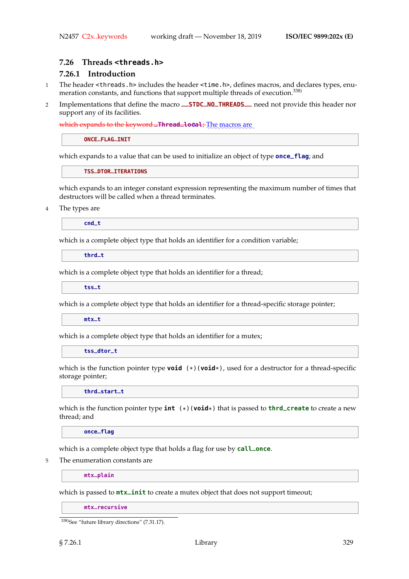### **7.26 Threads <threads.h>**

# **7.26.1 Introduction**

- 1 The header <threads.h> includes the header <time.h>, defines macros, and declares types, enumeration constants, and functions that support multiple threads of execution.<sup>338)</sup>
- <sup>2</sup> Implementations that define the macro **\_\_STDC\_NO\_THREADS\_\_** need not provide this header nor support any of its facilities.

which expands to the keyword **\_Thread\_local**; The macros are

**ONCE\_FLAG\_INIT**

which expands to a value that can be used to initialize an object of type **once\_flag**; and

**TSS\_DTOR\_ITERATIONS**

which expands to an integer constant expression representing the maximum number of times that destructors will be called when a thread terminates.

4 The types are

**cnd\_t**

which is a complete object type that holds an identifier for a condition variable;

**thrd\_t**

which is a complete object type that holds an identifier for a thread;

**tss\_t**

which is a complete object type that holds an identifier for a thread-specific storage pointer;

**mtx\_t**

which is a complete object type that holds an identifier for a mutex;

**tss\_dtor\_t**

which is the function pointer type **void** (\*)(**void**\*), used for a destructor for a thread-specific storage pointer;

**thrd\_start\_t**

which is the function pointer type **int** (\*)(**void**\*) that is passed to **thrd\_create** to create a new thread; and

**once\_flag**

which is a complete object type that holds a flag for use by **call\_once**.

5 The enumeration constants are

**mtx\_plain**

which is passed to **mtx\_init** to create a mutex object that does not support timeout;

**mtx\_recursive**

<sup>338)</sup>See "future library directions" (7.31.17).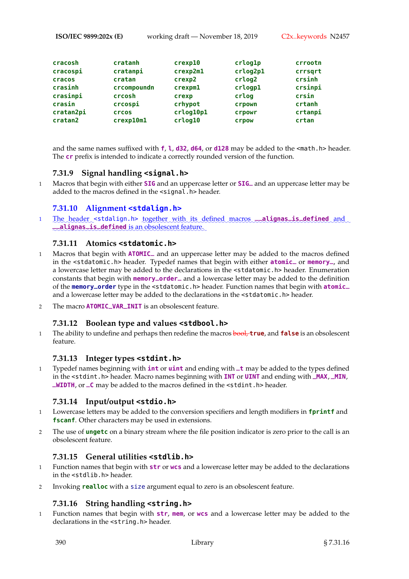**ISO/IEC 9899:202x (E)** working draft — November 18, 2019 C2x..keywords N2457

| cracosh   | cratanh      | $c$ rexp $10$ | crlog1p  | crrootn |
|-----------|--------------|---------------|----------|---------|
|           |              |               |          |         |
| cracospi  | cratanpi     | crexp2m1      | crlog2p1 | crrsqrt |
| cracos    | cratan       | crexp2        | crlog2   | crsinh  |
| crasinh   | crcompoundn  | crexpm1       | crlogp1  | crsinpi |
| crasinpi  | crcosh       | crexp         | crlog    | crsin   |
| crasin    | crcospi      | crhypot       | crpown   | crtanh  |
| cratan2pi | <b>Crcos</b> | crlog10p1     | crpowr   | crtanpi |
| cratan2   | crexp10m1    | crlog10       | crpow    | crtan   |
|           |              |               |          |         |

and the same names suffixed with **f**, **l**, **d32**, **d64**, or **d128** may be added to the <math.h> header. The **cr** prefix is intended to indicate a correctly rounded version of the function.

# **7.31.9 Signal handling <signal.h>**

<sup>1</sup> Macros that begin with either **SIG** and an uppercase letter or **SIG\_** and an uppercase letter may be added to the macros defined in the <signal.h> header.

# **7.31.10 Alignment <stdalign.h>**

1 The header <stdalign.h> together with its defined macros **\_\_alignas\_is\_defined** and **\_\_alignas\_is\_defined** is an obsolescent feature.

# **7.31.11 Atomics <stdatomic.h>**

- <sup>1</sup> Macros that begin with **ATOMIC\_** and an uppercase letter may be added to the macros defined in the <stdatomic.h> header. Typedef names that begin with either **atomic\_** or **memory\_**, and a lowercase letter may be added to the declarations in the <stdatomic.h> header. Enumeration constants that begin with **memory\_order\_** and a lowercase letter may be added to the definition of the **memory\_order** type in the <stdatomic.h> header. Function names that begin with **atomic\_** and a lowercase letter may be added to the declarations in the <stdatomic.h> header.
- <sup>2</sup> The macro **ATOMIC\_VAR\_INIT** is an obsolescent feature.

### **7.31.12 Boolean type and values <stdbool.h>**

1 The ability to undefine and perhaps then redefine the macros bool, **true**, and **false** is an obsolescent feature.

# **7.31.13 Integer types <stdint.h>**

<sup>1</sup> Typedef names beginning with **int** or **uint** and ending with **\_t** may be added to the types defined in the <stdint.h> header. Macro names beginning with **INT** or **UINT** and ending with **\_MAX**, **\_MIN**, **\_WIDTH**, or **\_C** may be added to the macros defined in the <stdint.h> header.

# **7.31.14 Input/output <stdio.h>**

- 1 Lowercase letters may be added to the conversion specifiers and length modifiers in **fprintf** and **fscanf**. Other characters may be used in extensions.
- 2 The use of **ungetc** on a binary stream where the file position indicator is zero prior to the call is an obsolescent feature.

### **7.31.15 General utilities <stdlib.h>**

- 1 Function names that begin with **str** or **wcs** and a lowercase letter may be added to the declarations in the <stdlib.h> header.
- 2 Invoking **realloc** with a size argument equal to zero is an obsolescent feature.

# **7.31.16 String handling <string.h>**

1 Function names that begin with **str**, **mem**, or **wcs** and a lowercase letter may be added to the declarations in the <string.h> header.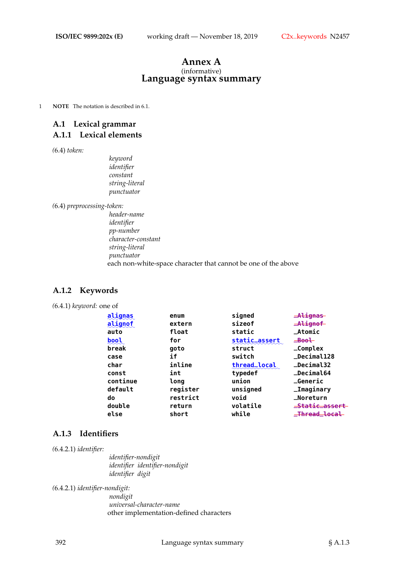### **Annex A** (informative) **Language syntax summary**

1 **NOTE** The notation is described in 6.1.

# **A.1 Lexical grammar A.1.1 Lexical elements**

*(*6.4) *token:*

*keyword identifier constant string-literal punctuator*

*(*6.4) *preprocessing-token:*

*header-name identifier pp-number character-constant string-literal punctuator* each non-white-space character that cannot be one of the above

# **A.1.2 Keywords**

### *(*6.4.1) *keyword:* one of

| alignas             | enum     | signed        | -Alignas        |
|---------------------|----------|---------------|-----------------|
| alignof             | extern   | sizeof        | $=$ Alignof     |
| auto                | float    | static        | $+ Atomic$      |
| $\frac{bool}{2000}$ | for      | static_assert | $\equiv$ Bool   |
| break               | goto     | struct        | $\_Complex$     |
| case                | if       | switch        | _Decimal128     |
| char                | inline   | thread_local  | _Decimal32      |
| const               | int      | typedef       | _Decimal64      |
| continue            | long     | union         | <b>_Generic</b> |
| default             | register | unsigned      | _Imaginary      |
| do                  | restrict | void          | _Noreturn       |
| double              | return   | volatile      | _Static_assert  |
| else                | short    | while         | _Thread_local   |

### **A.1.3 Identifiers**

*(*6.4.2.1) *identifier:*

*identifier-nondigit identifier identifier-nondigit identifier digit*

*(*6.4.2.1) *identifier-nondigit:*

*nondigit universal-character-name* other implementation-defined characters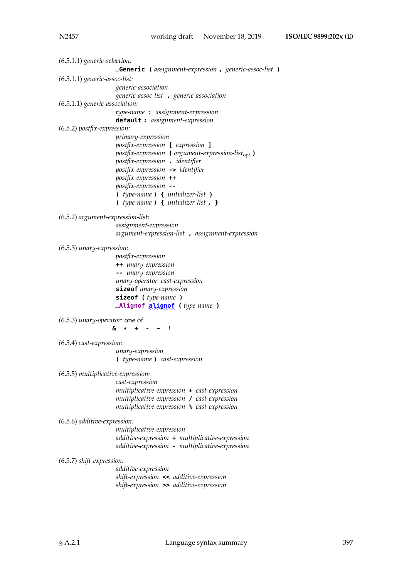*(*6.5.1.1) *generic-selection:* **\_Generic (** *assignment-expression* **,** *generic-assoc-list* **)** *(*6.5.1.1) *generic-assoc-list: generic-association generic-assoc-list* **,** *generic-association (*6.5.1.1) *generic-association: type-name* **:** *assignment-expression* **default :** *assignment-expression (*6.5.2) *postfix-expression: primary-expression postfix-expression* **[** *expression* **]** *postfix-expression* **(** *argument-expression-list*opt **)** *postfix-expression* **.** *identifier postfix-expression* **->** *identifier postfix-expression* **++** *postfix-expression* **-- (** *type-name* **) {** *initializer-list* **} (** *type-name* **) {** *initializer-list* **, }** *(*6.5.2) *argument-expression-list: assignment-expression argument-expression-list* **,** *assignment-expression (*6.5.3) *unary-expression: postfix-expression* **++** *unary-expression* **--** *unary-expression unary-operator cast-expression* **sizeof** *unary-expression* **sizeof (** *type-name* **)**  $\frac{1}{2}$ Alignof ( *type-name*) *(*6.5.3) *unary-operator:* one of **& \* + - ~ !** *(*6.5.4) *cast-expression: unary-expression* **(** *type-name* **)** *cast-expression (*6.5.5) *multiplicative-expression: cast-expression multiplicative-expression* **\*** *cast-expression multiplicative-expression* **/** *cast-expression multiplicative-expression* **%** *cast-expression (*6.5.6) *additive-expression: multiplicative-expression additive-expression* **+** *multiplicative-expression additive-expression* **-** *multiplicative-expression (*6.5.7) *shift-expression: additive-expression shift-expression* **<<** *additive-expression shift-expression* **>>** *additive-expression*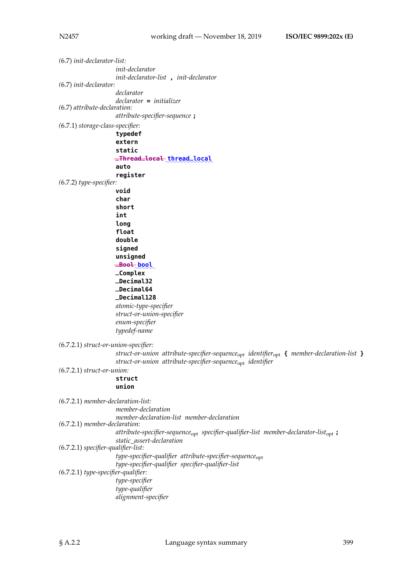| $(6.7)$ init-declarator-list:      |                                                                                                                   |
|------------------------------------|-------------------------------------------------------------------------------------------------------------------|
|                                    | <i>init-declarator</i>                                                                                            |
| $(6.7)$ init-declarator:           | init-declarator-list, init-declarator                                                                             |
|                                    | declarator                                                                                                        |
|                                    | $\text{declarator} = \text{initializer}$                                                                          |
| $(6.7)$ attribute-declaration:     |                                                                                                                   |
|                                    | attribute-specifier-sequence;                                                                                     |
| $(6.7.1)$ storage-class-specifier: |                                                                                                                   |
|                                    | typedef                                                                                                           |
|                                    | extern                                                                                                            |
|                                    | static                                                                                                            |
|                                    | -Thread local thread local                                                                                        |
|                                    | auto                                                                                                              |
|                                    | register                                                                                                          |
| $(6.7.2)$ type-specifier:          |                                                                                                                   |
|                                    | void                                                                                                              |
|                                    | char<br>short                                                                                                     |
|                                    | int                                                                                                               |
|                                    | long                                                                                                              |
|                                    | float                                                                                                             |
|                                    | double                                                                                                            |
|                                    | signed                                                                                                            |
|                                    | unsigned                                                                                                          |
|                                    | $-$ Bool bool                                                                                                     |
|                                    | _Complex                                                                                                          |
|                                    | _Decimal32                                                                                                        |
|                                    | <b>_Decimal64</b>                                                                                                 |
|                                    | _Decimal128                                                                                                       |
|                                    | atomic-type-specifier                                                                                             |
|                                    | struct-or-union-specifier                                                                                         |
|                                    | enum-specifier                                                                                                    |
|                                    | typedef-name                                                                                                      |
|                                    | $(6.7.2.1)$ struct-or-union-specifier:                                                                            |
|                                    | struct-or-union attribute-specifier-sequence <sub>opt</sub> identifier <sub>opt</sub> { member-declaration-list } |
|                                    | struct-or-union attribute-specifier-sequence <sub>opt</sub> identifier                                            |
| $(6.7.2.1)$ struct-or-union:       |                                                                                                                   |
|                                    | struct                                                                                                            |
|                                    | union                                                                                                             |
|                                    |                                                                                                                   |
|                                    | $(6.7.2.1)$ member-declaration-list:                                                                              |
|                                    | member-declaration                                                                                                |
|                                    | member-declaration-list member-declaration<br>$(6.7.2.1)$ member-declaration:                                     |
|                                    | $attribute$ -specifier-sequence <sub>opt</sub> specifier-qualifier-list member-declarator-list <sub>opt</sub> ;   |
|                                    |                                                                                                                   |
|                                    |                                                                                                                   |
|                                    | static_assert-declaration<br>$(6.7.2.1)$ specifier-qualifier-list:                                                |
|                                    | type-specifier-qualifier attribute-specifier-sequence <sub>opt</sub>                                              |
|                                    | type-specifier-qualifier specifier-qualifier-list                                                                 |
|                                    | $(6.7.2.1)$ type-specifier-qualifier:                                                                             |
|                                    | type-specifier                                                                                                    |
|                                    | type-qualifier<br>alignment-specifier                                                                             |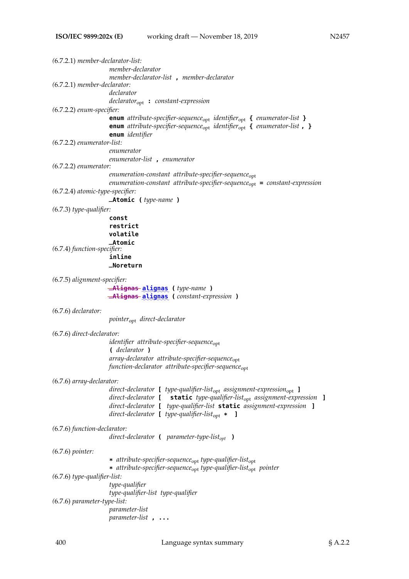| $(6.7.2.1)$ member-declarator-list: |                                                                                                        |
|-------------------------------------|--------------------------------------------------------------------------------------------------------|
|                                     | member-declarator                                                                                      |
|                                     | member-declarator-list, member-declarator                                                              |
| $(6.7.2.1)$ member-declarator:      |                                                                                                        |
|                                     | declarator                                                                                             |
|                                     | $\textit{declarator}_{\text{opt}}$ : constant-expression                                               |
| $(6.7.2.2)$ enum-specifier:         |                                                                                                        |
|                                     | enum attribute-specifier-sequence <sub>opt</sub> identifier <sub>opt</sub> { enumerator-list }         |
|                                     | <b>enum</b> attribute-specifier-sequence <sub>opt</sub> identifier <sub>opt</sub> { enumerator-list, } |
|                                     | enum identifier                                                                                        |
| $(6.7.2.2)$ enumerator-list:        |                                                                                                        |
|                                     | enumerator                                                                                             |
|                                     | enumerator-list, enumerator                                                                            |
| $(6.7.2.2)$ enumerator:             |                                                                                                        |
|                                     | $e$ numeration-constant attribute-specifier-sequence $_{\rm opt}$                                      |
|                                     | $enumeration-constant$ attribute-specifier-sequence <sub>opt</sub> = constant-expression               |
|                                     |                                                                                                        |
| $(6.7.2.4)$ atomic-type-specifier:  |                                                                                                        |
|                                     | <b>_Atomic</b> (type-name)                                                                             |
| $(6.7.3)$ type-qualifier:           |                                                                                                        |
|                                     | const                                                                                                  |
|                                     | restrict                                                                                               |
|                                     | volatile                                                                                               |
|                                     | <b>_Atomic</b>                                                                                         |
| (6.7.4) function-specifier:         |                                                                                                        |
|                                     | inline                                                                                                 |
|                                     | _Noreturn                                                                                              |
|                                     |                                                                                                        |
| (6.7.5) alignment-specifier:        |                                                                                                        |
|                                     | -Alignas-alignas (type-name)                                                                           |
|                                     | -Alignas-alignas (constant-expression)                                                                 |
|                                     |                                                                                                        |
|                                     |                                                                                                        |
| $(6.7.6)$ declarator:               |                                                                                                        |
|                                     | pointer <sub>opt</sub> direct-declarator                                                               |
|                                     |                                                                                                        |
| $(6.7.6)$ direct-declarator:        |                                                                                                        |
|                                     | identifier attribute-specifier-sequence <sub>opt</sub>                                                 |
|                                     | ( declarator )                                                                                         |
|                                     | array-declarator attribute-specifier-sequence <sub>opt</sub>                                           |
|                                     | function-declarator attribute-specifier-sequence <sub>opt</sub>                                        |
|                                     |                                                                                                        |
| $(6.7.6)$ array-declarator:         |                                                                                                        |
|                                     | direct-declarator [ type-qualifier-list <sub>opt</sub> assignment-expression <sub>opt</sub> ]          |
|                                     | direct-declarator [ static type-qualifier-list <sub>opt</sub> assignment-expression ]                  |
|                                     | direct-declarator [ type-qualifier-list static assignment-expression ]                                 |
|                                     | direct-declarator [ type-qualifier-list <sub>opt</sub> * ]                                             |
|                                     |                                                                                                        |
| $(6.7.6)$ function-declarator:      |                                                                                                        |
|                                     | direct-declarator $($ parameter-type-list <sub>opt</sub> $)$                                           |
|                                     |                                                                                                        |
| $(6.7.6)$ pointer:                  |                                                                                                        |
|                                     | * attribute-specifier-sequence <sub>opt</sub> type-qualifier-list <sub>opt</sub>                       |
|                                     | * attribute-specifier-sequence <sub>opt</sub> type-qualifier-list <sub>opt</sub> pointer               |
| $(6.7.6)$ type-qualifier-list:      |                                                                                                        |
|                                     | type-qualifier                                                                                         |
|                                     | type-qualifier-list type-qualifier                                                                     |
| $(6.7.6)$ parameter-type-list:      |                                                                                                        |
|                                     | parameter-list                                                                                         |
|                                     | $parameter-list$ ,                                                                                     |